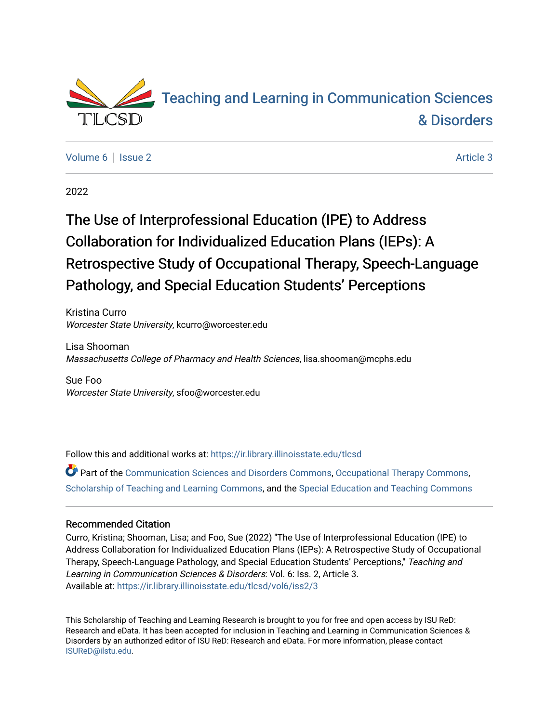

[Volume 6](https://ir.library.illinoisstate.edu/tlcsd/vol6) | [Issue 2](https://ir.library.illinoisstate.edu/tlcsd/vol6/iss2) Article 3

2022

# The Use of Interprofessional Education (IPE) to Address Collaboration for Individualized Education Plans (IEPs): A Retrospective Study of Occupational Therapy, Speech-Language Pathology, and Special Education Students' Perceptions

Kristina Curro Worcester State University, kcurro@worcester.edu

Lisa Shooman Massachusetts College of Pharmacy and Health Sciences, lisa.shooman@mcphs.edu

Sue Foo Worcester State University, sfoo@worcester.edu

Follow this and additional works at: [https://ir.library.illinoisstate.edu/tlcsd](https://ir.library.illinoisstate.edu/tlcsd?utm_source=ir.library.illinoisstate.edu%2Ftlcsd%2Fvol6%2Fiss2%2F3&utm_medium=PDF&utm_campaign=PDFCoverPages)

Part of the [Communication Sciences and Disorders Commons](https://network.bepress.com/hgg/discipline/1019?utm_source=ir.library.illinoisstate.edu%2Ftlcsd%2Fvol6%2Fiss2%2F3&utm_medium=PDF&utm_campaign=PDFCoverPages), [Occupational Therapy Commons](https://network.bepress.com/hgg/discipline/752?utm_source=ir.library.illinoisstate.edu%2Ftlcsd%2Fvol6%2Fiss2%2F3&utm_medium=PDF&utm_campaign=PDFCoverPages), [Scholarship of Teaching and Learning Commons,](https://network.bepress.com/hgg/discipline/1328?utm_source=ir.library.illinoisstate.edu%2Ftlcsd%2Fvol6%2Fiss2%2F3&utm_medium=PDF&utm_campaign=PDFCoverPages) and the [Special Education and Teaching Commons](https://network.bepress.com/hgg/discipline/801?utm_source=ir.library.illinoisstate.edu%2Ftlcsd%2Fvol6%2Fiss2%2F3&utm_medium=PDF&utm_campaign=PDFCoverPages) 

#### Recommended Citation

Curro, Kristina; Shooman, Lisa; and Foo, Sue (2022) "The Use of Interprofessional Education (IPE) to Address Collaboration for Individualized Education Plans (IEPs): A Retrospective Study of Occupational Therapy, Speech-Language Pathology, and Special Education Students' Perceptions," Teaching and Learning in Communication Sciences & Disorders: Vol. 6: Iss. 2, Article 3. Available at: [https://ir.library.illinoisstate.edu/tlcsd/vol6/iss2/3](https://ir.library.illinoisstate.edu/tlcsd/vol6/iss2/3?utm_source=ir.library.illinoisstate.edu%2Ftlcsd%2Fvol6%2Fiss2%2F3&utm_medium=PDF&utm_campaign=PDFCoverPages) 

This Scholarship of Teaching and Learning Research is brought to you for free and open access by ISU ReD: Research and eData. It has been accepted for inclusion in Teaching and Learning in Communication Sciences & Disorders by an authorized editor of ISU ReD: Research and eData. For more information, please contact [ISUReD@ilstu.edu](mailto:ISUReD@ilstu.edu).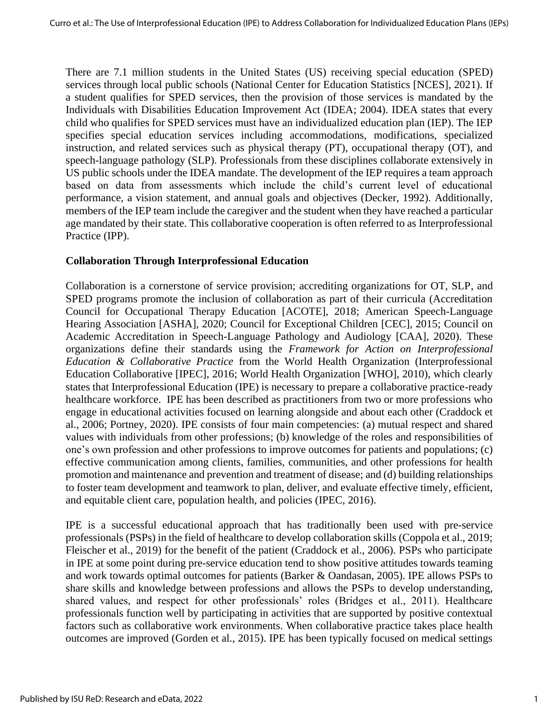There are 7.1 million students in the United States (US) receiving special education (SPED) services through local public schools (National Center for Education Statistics [NCES], 2021). If a student qualifies for SPED services, then the provision of those services is mandated by the Individuals with Disabilities Education Improvement Act (IDEA; 2004). IDEA states that every child who qualifies for SPED services must have an individualized education plan (IEP). The IEP specifies special education services including accommodations, modifications, specialized instruction, and related services such as physical therapy (PT), occupational therapy (OT), and speech-language pathology (SLP). Professionals from these disciplines collaborate extensively in US public schools under the IDEA mandate. The development of the IEP requires a team approach based on data from assessments which include the child's current level of educational performance, a vision statement, and annual goals and objectives (Decker, 1992). Additionally, members of the IEP team include the caregiver and the student when they have reached a particular age mandated by their state. This collaborative cooperation is often referred to as Interprofessional Practice (IPP).

### **Collaboration Through Interprofessional Education**

Collaboration is a cornerstone of service provision; accrediting organizations for OT, SLP, and SPED programs promote the inclusion of collaboration as part of their curricula (Accreditation Council for Occupational Therapy Education [ACOTE], 2018; American Speech-Language Hearing Association [ASHA], 2020; Council for Exceptional Children [CEC], 2015; Council on Academic Accreditation in Speech-Language Pathology and Audiology [CAA], 2020). These organizations define their standards using the *Framework for Action on Interprofessional Education & Collaborative Practice* from the World Health Organization (Interprofessional Education Collaborative [IPEC], 2016; World Health Organization [WHO], 2010), which clearly states that Interprofessional Education (IPE) is necessary to prepare a collaborative practice-ready healthcare workforce. IPE has been described as practitioners from two or more professions who engage in educational activities focused on learning alongside and about each other (Craddock et al., 2006; Portney, 2020). IPE consists of four main competencies: (a) mutual respect and shared values with individuals from other professions; (b) knowledge of the roles and responsibilities of one's own profession and other professions to improve outcomes for patients and populations; (c) effective communication among clients, families, communities, and other professions for health promotion and maintenance and prevention and treatment of disease; and (d) building relationships to foster team development and teamwork to plan, deliver, and evaluate effective timely, efficient, and equitable client care, population health, and policies (IPEC, 2016).

IPE is a successful educational approach that has traditionally been used with pre-service professionals (PSPs) in the field of healthcare to develop collaboration skills (Coppola et al., 2019; Fleischer et al., 2019) for the benefit of the patient (Craddock et al., 2006). PSPs who participate in IPE at some point during pre-service education tend to show positive attitudes towards teaming and work towards optimal outcomes for patients (Barker & Oandasan, 2005). IPE allows PSPs to share skills and knowledge between professions and allows the PSPs to develop understanding, shared values, and respect for other professionals' roles (Bridges et al., 2011). Healthcare professionals function well by participating in activities that are supported by positive contextual factors such as collaborative work environments. When collaborative practice takes place health outcomes are improved (Gorden et al., 2015). IPE has been typically focused on medical settings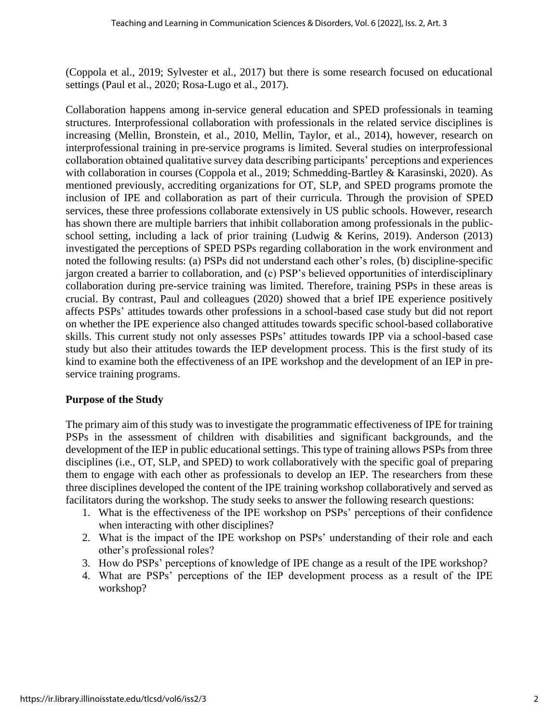(Coppola et al., 2019; Sylvester et al., 2017) but there is some research focused on educational settings (Paul et al., 2020; Rosa-Lugo et al., 2017).

Collaboration happens among in-service general education and SPED professionals in teaming structures. Interprofessional collaboration with professionals in the related service disciplines is increasing (Mellin, Bronstein, et al., 2010, Mellin, Taylor, et al., 2014), however, research on interprofessional training in pre-service programs is limited. Several studies on interprofessional collaboration obtained qualitative survey data describing participants' perceptions and experiences with collaboration in courses (Coppola et al., 2019; Schmedding-Bartley & Karasinski, 2020). As mentioned previously, accrediting organizations for OT, SLP, and SPED programs promote the inclusion of IPE and collaboration as part of their curricula. Through the provision of SPED services, these three professions collaborate extensively in US public schools. However, research has shown there are multiple barriers that inhibit collaboration among professionals in the publicschool setting, including a lack of prior training (Ludwig & Kerins, 2019). Anderson (2013) investigated the perceptions of SPED PSPs regarding collaboration in the work environment and noted the following results: (a) PSPs did not understand each other's roles, (b) discipline-specific jargon created a barrier to collaboration, and (c) PSP's believed opportunities of interdisciplinary collaboration during pre-service training was limited. Therefore, training PSPs in these areas is crucial. By contrast, Paul and colleagues (2020) showed that a brief IPE experience positively affects PSPs' attitudes towards other professions in a school-based case study but did not report on whether the IPE experience also changed attitudes towards specific school-based collaborative skills. This current study not only assesses PSPs' attitudes towards IPP via a school-based case study but also their attitudes towards the IEP development process. This is the first study of its kind to examine both the effectiveness of an IPE workshop and the development of an IEP in preservice training programs.

#### **Purpose of the Study**

The primary aim of this study was to investigate the programmatic effectiveness of IPE for training PSPs in the assessment of children with disabilities and significant backgrounds, and the development of the IEP in public educational settings. This type of training allows PSPs from three disciplines (i.e., OT, SLP, and SPED) to work collaboratively with the specific goal of preparing them to engage with each other as professionals to develop an IEP. The researchers from these three disciplines developed the content of the IPE training workshop collaboratively and served as facilitators during the workshop. The study seeks to answer the following research questions:

- 1. What is the effectiveness of the IPE workshop on PSPs' perceptions of their confidence when interacting with other disciplines?
- 2. What is the impact of the IPE workshop on PSPs' understanding of their role and each other's professional roles?
- 3. How do PSPs' perceptions of knowledge of IPE change as a result of the IPE workshop?
- 4. What are PSPs' perceptions of the IEP development process as a result of the IPE workshop?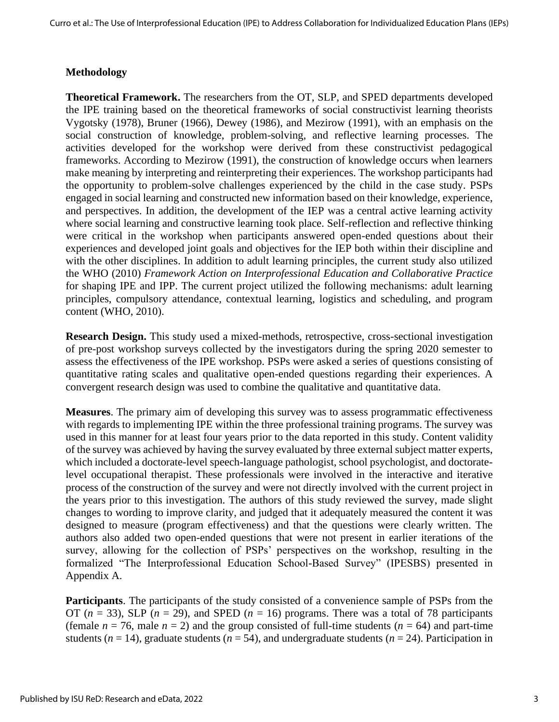## **Methodology**

**Theoretical Framework.** The researchers from the OT, SLP, and SPED departments developed the IPE training based on the theoretical frameworks of social constructivist learning theorists Vygotsky (1978), Bruner (1966), Dewey (1986), and Mezirow (1991), with an emphasis on the social construction of knowledge, problem-solving, and reflective learning processes. The activities developed for the workshop were derived from these constructivist pedagogical frameworks. According to Mezirow (1991), the construction of knowledge occurs when learners make meaning by interpreting and reinterpreting their experiences. The workshop participants had the opportunity to problem-solve challenges experienced by the child in the case study. PSPs engaged in social learning and constructed new information based on their knowledge, experience, and perspectives. In addition, the development of the IEP was a central active learning activity where social learning and constructive learning took place. Self-reflection and reflective thinking were critical in the workshop when participants answered open-ended questions about their experiences and developed joint goals and objectives for the IEP both within their discipline and with the other disciplines. In addition to adult learning principles, the current study also utilized the WHO (2010) *Framework Action on Interprofessional Education and Collaborative Practice* for shaping IPE and IPP. The current project utilized the following mechanisms: adult learning principles, compulsory attendance, contextual learning, logistics and scheduling, and program content (WHO, 2010).

**Research Design.** This study used a mixed-methods, retrospective, cross-sectional investigation of pre-post workshop surveys collected by the investigators during the spring 2020 semester to assess the effectiveness of the IPE workshop. PSPs were asked a series of questions consisting of quantitative rating scales and qualitative open-ended questions regarding their experiences. A convergent research design was used to combine the qualitative and quantitative data.

**Measures**. The primary aim of developing this survey was to assess programmatic effectiveness with regards to implementing IPE within the three professional training programs. The survey was used in this manner for at least four years prior to the data reported in this study. Content validity of the survey was achieved by having the survey evaluated by three external subject matter experts, which included a doctorate-level speech-language pathologist, school psychologist, and doctoratelevel occupational therapist. These professionals were involved in the interactive and iterative process of the construction of the survey and were not directly involved with the current project in the years prior to this investigation. The authors of this study reviewed the survey, made slight changes to wording to improve clarity, and judged that it adequately measured the content it was designed to measure (program effectiveness) and that the questions were clearly written. The authors also added two open-ended questions that were not present in earlier iterations of the survey, allowing for the collection of PSPs' perspectives on the workshop, resulting in the formalized "The Interprofessional Education School-Based Survey" (IPESBS) presented in Appendix A.

**Participants**. The participants of the study consisted of a convenience sample of PSPs from the OT ( $n = 33$ ), SLP ( $n = 29$ ), and SPED ( $n = 16$ ) programs. There was a total of 78 participants (female  $n = 76$ , male  $n = 2$ ) and the group consisted of full-time students ( $n = 64$ ) and part-time students ( $n = 14$ ), graduate students ( $n = 54$ ), and undergraduate students ( $n = 24$ ). Participation in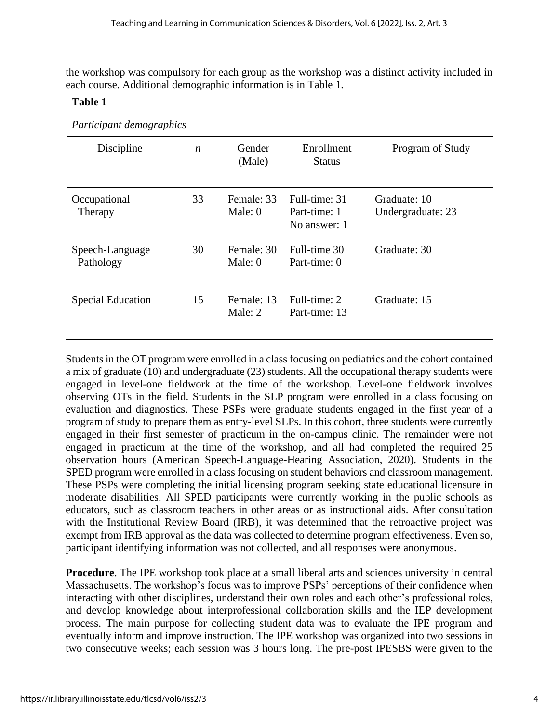the workshop was compulsory for each group as the workshop was a distinct activity included in each course. Additional demographic information is in Table 1.

#### **Table 1**

| Discipline                   | $\boldsymbol{n}$ | Gender<br>(Male)        | Enrollment<br><b>Status</b>                   | Program of Study                  |
|------------------------------|------------------|-------------------------|-----------------------------------------------|-----------------------------------|
| Occupational<br>Therapy      | 33               | Female: 33<br>Male: $0$ | Full-time: 31<br>Part-time: 1<br>No answer: 1 | Graduate: 10<br>Undergraduate: 23 |
| Speech-Language<br>Pathology | 30               | Female: 30<br>Male: $0$ | Full-time 30<br>Part-time: 0                  | Graduate: 30                      |
| <b>Special Education</b>     | 15               | Female: 13<br>Male: 2   | Full-time: 2<br>Part-time: 13                 | Graduate: 15                      |

Students in the OT program were enrolled in a class focusing on pediatrics and the cohort contained a mix of graduate (10) and undergraduate (23) students. All the occupational therapy students were engaged in level-one fieldwork at the time of the workshop. Level-one fieldwork involves observing OTs in the field. Students in the SLP program were enrolled in a class focusing on evaluation and diagnostics. These PSPs were graduate students engaged in the first year of a program of study to prepare them as entry-level SLPs. In this cohort, three students were currently engaged in their first semester of practicum in the on-campus clinic. The remainder were not engaged in practicum at the time of the workshop, and all had completed the required 25 observation hours (American Speech-Language-Hearing Association, 2020). Students in the SPED program were enrolled in a class focusing on student behaviors and classroom management. These PSPs were completing the initial licensing program seeking state educational licensure in moderate disabilities. All SPED participants were currently working in the public schools as educators, such as classroom teachers in other areas or as instructional aids. After consultation with the Institutional Review Board (IRB), it was determined that the retroactive project was exempt from IRB approval as the data was collected to determine program effectiveness. Even so, participant identifying information was not collected, and all responses were anonymous.

**Procedure**. The IPE workshop took place at a small liberal arts and sciences university in central Massachusetts. The workshop's focus was to improve PSPs' perceptions of their confidence when interacting with other disciplines, understand their own roles and each other's professional roles, and develop knowledge about interprofessional collaboration skills and the IEP development process. The main purpose for collecting student data was to evaluate the IPE program and eventually inform and improve instruction. The IPE workshop was organized into two sessions in two consecutive weeks; each session was 3 hours long. The pre-post IPESBS were given to the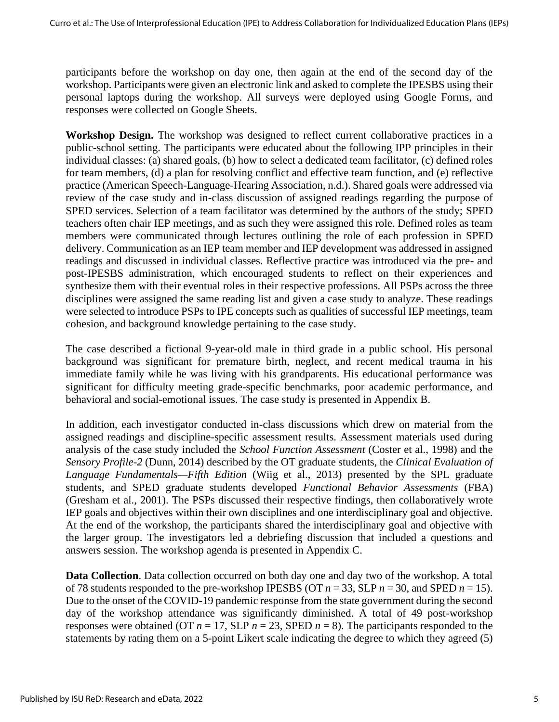participants before the workshop on day one, then again at the end of the second day of the workshop. Participants were given an electronic link and asked to complete the IPESBS using their personal laptops during the workshop. All surveys were deployed using Google Forms, and responses were collected on Google Sheets.

**Workshop Design.** The workshop was designed to reflect current collaborative practices in a public-school setting. The participants were educated about the following IPP principles in their individual classes: (a) shared goals, (b) how to select a dedicated team facilitator, (c) defined roles for team members, (d) a plan for resolving conflict and effective team function, and (e) reflective practice (American Speech-Language-Hearing Association, n.d.). Shared goals were addressed via review of the case study and in-class discussion of assigned readings regarding the purpose of SPED services. Selection of a team facilitator was determined by the authors of the study; SPED teachers often chair IEP meetings, and as such they were assigned this role. Defined roles as team members were communicated through lectures outlining the role of each profession in SPED delivery. Communication as an IEP team member and IEP development was addressed in assigned readings and discussed in individual classes. Reflective practice was introduced via the pre- and post-IPESBS administration, which encouraged students to reflect on their experiences and synthesize them with their eventual roles in their respective professions. All PSPs across the three disciplines were assigned the same reading list and given a case study to analyze. These readings were selected to introduce PSPs to IPE concepts such as qualities of successful IEP meetings, team cohesion, and background knowledge pertaining to the case study.

The case described a fictional 9-year-old male in third grade in a public school. His personal background was significant for premature birth, neglect, and recent medical trauma in his immediate family while he was living with his grandparents. His educational performance was significant for difficulty meeting grade-specific benchmarks, poor academic performance, and behavioral and social-emotional issues. The case study is presented in Appendix B.

In addition, each investigator conducted in-class discussions which drew on material from the assigned readings and discipline-specific assessment results. Assessment materials used during analysis of the case study included the *School Function Assessment* (Coster et al., 1998) and the *Sensory Profile-2* (Dunn, 2014) described by the OT graduate students, the *Clinical Evaluation of Language Fundamentals—Fifth Edition* (Wiig et al., 2013) presented by the SPL graduate students, and SPED graduate students developed *Functional Behavior Assessments* (FBA) (Gresham et al., 2001). The PSPs discussed their respective findings, then collaboratively wrote IEP goals and objectives within their own disciplines and one interdisciplinary goal and objective. At the end of the workshop, the participants shared the interdisciplinary goal and objective with the larger group. The investigators led a debriefing discussion that included a questions and answers session. The workshop agenda is presented in Appendix C.

**Data Collection**. Data collection occurred on both day one and day two of the workshop. A total of 78 students responded to the pre-workshop IPESBS (OT  $n = 33$ , SLP  $n = 30$ , and SPED  $n = 15$ ). Due to the onset of the COVID-19 pandemic response from the state government during the second day of the workshop attendance was significantly diminished. A total of 49 post-workshop responses were obtained (OT  $n = 17$ , SLP  $n = 23$ , SPED  $n = 8$ ). The participants responded to the statements by rating them on a 5-point Likert scale indicating the degree to which they agreed (5)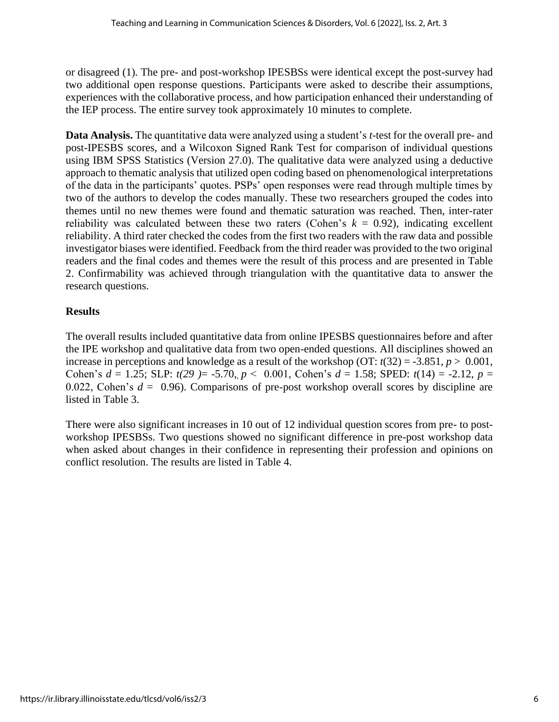or disagreed (1). The pre- and post-workshop IPESBSs were identical except the post-survey had two additional open response questions. Participants were asked to describe their assumptions, experiences with the collaborative process, and how participation enhanced their understanding of the IEP process. The entire survey took approximately 10 minutes to complete.

**Data Analysis.** The quantitative data were analyzed using a student's *t*-test for the overall pre- and post-IPESBS scores, and a Wilcoxon Signed Rank Test for comparison of individual questions using IBM SPSS Statistics (Version 27.0). The qualitative data were analyzed using a deductive approach to thematic analysis that utilized open coding based on phenomenological interpretations of the data in the participants' quotes. PSPs' open responses were read through multiple times by two of the authors to develop the codes manually. These two researchers grouped the codes into themes until no new themes were found and thematic saturation was reached. Then, inter-rater reliability was calculated between these two raters (Cohen's  $k = 0.92$ ), indicating excellent reliability. A third rater checked the codes from the first two readers with the raw data and possible investigator biases were identified. Feedback from the third reader was provided to the two original readers and the final codes and themes were the result of this process and are presented in Table 2. Confirmability was achieved through triangulation with the quantitative data to answer the research questions.

## **Results**

The overall results included quantitative data from online IPESBS questionnaires before and after the IPE workshop and qualitative data from two open-ended questions. All disciplines showed an increase in perceptions and knowledge as a result of the workshop (OT:  $t(32) = -3.851$ ,  $p > 0.001$ , Cohen's  $d = 1.25$ ; SLP:  $t(29) = -5.70$ ,  $p < 0.001$ , Cohen's  $d = 1.58$ ; SPED:  $t(14) = -2.12$ ,  $p =$ 0.022, Cohen's  $d = 0.96$ ). Comparisons of pre-post workshop overall scores by discipline are listed in Table 3.

There were also significant increases in 10 out of 12 individual question scores from pre- to postworkshop IPESBSs. Two questions showed no significant difference in pre-post workshop data when asked about changes in their confidence in representing their profession and opinions on conflict resolution. The results are listed in Table 4.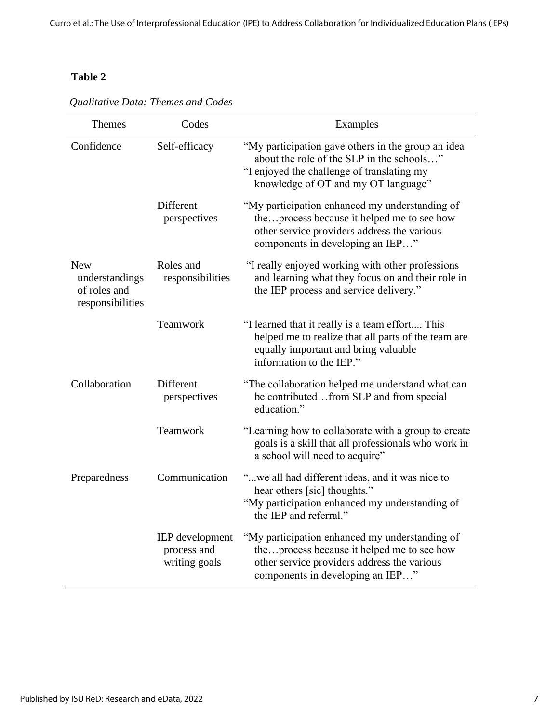# **Table 2**

| <b>Themes</b>                                                    | Codes                                           | Examples                                                                                                                                                                             |
|------------------------------------------------------------------|-------------------------------------------------|--------------------------------------------------------------------------------------------------------------------------------------------------------------------------------------|
| Confidence                                                       | Self-efficacy                                   | "My participation gave others in the group an idea<br>about the role of the SLP in the schools"<br>"I enjoyed the challenge of translating my<br>knowledge of OT and my OT language" |
|                                                                  | Different<br>perspectives                       | "My participation enhanced my understanding of<br>theprocess because it helped me to see how<br>other service providers address the various<br>components in developing an IEP"      |
| <b>New</b><br>understandings<br>of roles and<br>responsibilities | Roles and<br>responsibilities                   | "I really enjoyed working with other professions<br>and learning what they focus on and their role in<br>the IEP process and service delivery."                                      |
|                                                                  | Teamwork                                        | "I learned that it really is a team effort This<br>helped me to realize that all parts of the team are<br>equally important and bring valuable<br>information to the IEP."           |
| Collaboration                                                    | Different<br>perspectives                       | "The collaboration helped me understand what can<br>be contributedfrom SLP and from special<br>education."                                                                           |
|                                                                  | Teamwork                                        | "Learning how to collaborate with a group to create<br>goals is a skill that all professionals who work in<br>a school will need to acquire"                                         |
| Preparedness                                                     | Communication                                   | "we all had different ideas, and it was nice to<br>hear others [sic] thoughts."<br>"My participation enhanced my understanding of<br>the IEP and referral."                          |
|                                                                  | IEP development<br>process and<br>writing goals | "My participation enhanced my understanding of<br>theprocess because it helped me to see how<br>other service providers address the various<br>components in developing an IEP"      |

*Qualitative Data: Themes and Codes*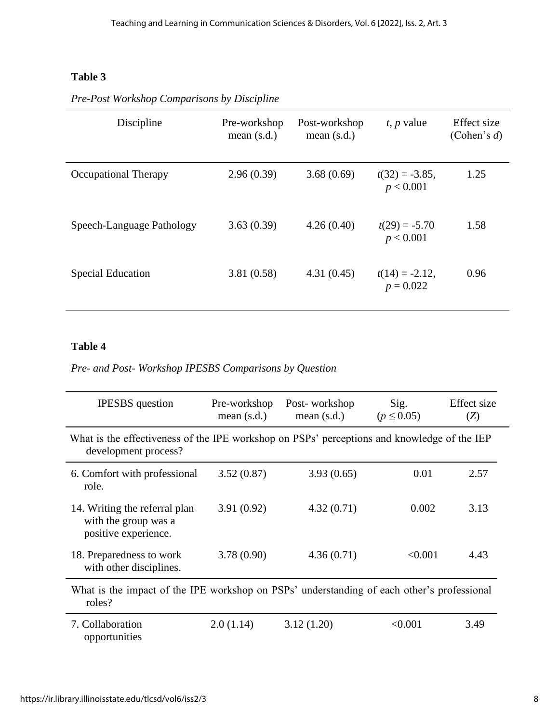# **Table 3**

| Discipline                  | Pre-workshop<br>mean $(s.d.)$ | Post-workshop<br>mean $(s.d.)$ | $t$ , p value                    | Effect size<br>(Cohen's $d$ ) |
|-----------------------------|-------------------------------|--------------------------------|----------------------------------|-------------------------------|
| <b>Occupational Therapy</b> | 2.96(0.39)                    | 3.68(0.69)                     | $t(32) = -3.85$ ,<br>p < 0.001   | 1.25                          |
| Speech-Language Pathology   | 3.63(0.39)                    | 4.26(0.40)                     | $t(29) = -5.70$<br>p < 0.001     | 1.58                          |
| <b>Special Education</b>    | 3.81(0.58)                    | 4.31(0.45)                     | $t(14) = -2.12$ ,<br>$p = 0.022$ | 0.96                          |

*Pre-Post Workshop Comparisons by Discipline*

# **Table 4**

*Pre- and Post- Workshop IPESBS Comparisons by Question*

| <b>IPESBS</b> question                                                                                              | Pre-workshop<br>mean $(s.d.)$ | Post-workshop<br>mean $(s.d.)$ | Sig.<br>$(p \le 0.05)$ | Effect size<br>(Z) |
|---------------------------------------------------------------------------------------------------------------------|-------------------------------|--------------------------------|------------------------|--------------------|
| What is the effectiveness of the IPE workshop on PSPs' perceptions and knowledge of the IEP<br>development process? |                               |                                |                        |                    |
| 6. Comfort with professional<br>role.                                                                               | 3.52(0.87)                    | 3.93(0.65)                     | 0.01                   | 2.57               |
| 14. Writing the referral plan<br>with the group was a<br>positive experience.                                       | 3.91(0.92)                    | 4.32(0.71)                     | 0.002                  | 3.13               |
| 18. Preparedness to work<br>with other disciplines.                                                                 | 3.78(0.90)                    | 4.36(0.71)                     | < 0.001                | 4.43               |
| What is the impact of the IPE workshop on PSPs' understanding of each other's professional<br>roles?                |                               |                                |                        |                    |
| 7. Collaboration<br>opportunities                                                                                   | 2.0(1.14)                     | 3.12(1.20)                     | < 0.001                | 3.49               |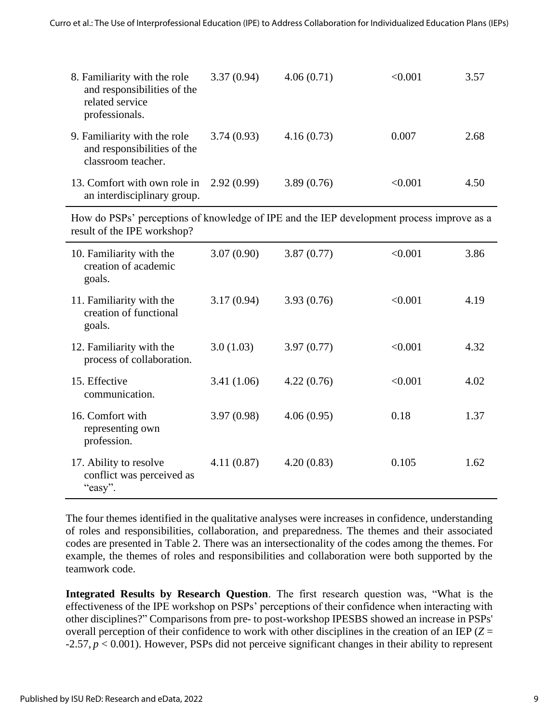| 8. Familiarity with the role<br>and responsibilities of the<br>related service<br>professionals. | 3.37(0.94) | 4.06(0.71) | < 0.001 | 3.57 |
|--------------------------------------------------------------------------------------------------|------------|------------|---------|------|
| 9. Familiarity with the role<br>and responsibilities of the<br>classroom teacher.                | 3.74(0.93) | 4.16(0.73) | 0.007   | 2.68 |
| 13. Comfort with own role in $2.92(0.99)$<br>an interdisciplinary group.                         |            | 3.89(0.76) | < 0.001 | 4.50 |

How do PSPs' perceptions of knowledge of IPE and the IEP development process improve as a result of the IPE workshop?

| 10. Familiarity with the<br>creation of academic<br>goals.     | 3.07(0.90) | 3.87(0.77) | < 0.001 | 3.86 |
|----------------------------------------------------------------|------------|------------|---------|------|
| 11. Familiarity with the<br>creation of functional<br>goals.   | 3.17(0.94) | 3.93(0.76) | < 0.001 | 4.19 |
| 12. Familiarity with the<br>process of collaboration.          | 3.0(1.03)  | 3.97(0.77) | < 0.001 | 4.32 |
| 15. Effective<br>communication.                                | 3.41(1.06) | 4.22(0.76) | < 0.001 | 4.02 |
| 16. Comfort with<br>representing own<br>profession.            | 3.97(0.98) | 4.06(0.95) | 0.18    | 1.37 |
| 17. Ability to resolve<br>conflict was perceived as<br>"easy". | 4.11(0.87) | 4.20(0.83) | 0.105   | 1.62 |

The four themes identified in the qualitative analyses were increases in confidence, understanding of roles and responsibilities, collaboration, and preparedness. The themes and their associated codes are presented in Table 2. There was an intersectionality of the codes among the themes. For example, the themes of roles and responsibilities and collaboration were both supported by the teamwork code.

**Integrated Results by Research Question**. The first research question was, "What is the effectiveness of the IPE workshop on PSPs' perceptions of their confidence when interacting with other disciplines?" Comparisons from pre- to post-workshop IPESBS showed an increase in PSPs' overall perception of their confidence to work with other disciplines in the creation of an IEP (*Z* = -2.57, *p* < 0.001). However, PSPs did not perceive significant changes in their ability to represent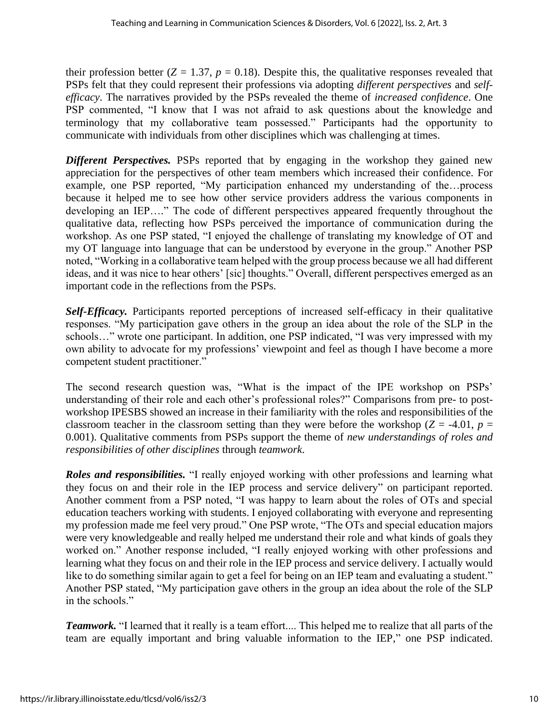their profession better  $(Z = 1.37, p = 0.18)$ . Despite this, the qualitative responses revealed that PSPs felt that they could represent their professions via adopting *different perspectives* and *selfefficacy*. The narratives provided by the PSPs revealed the theme of *increased confidence*. One PSP commented, "I know that I was not afraid to ask questions about the knowledge and terminology that my collaborative team possessed." Participants had the opportunity to communicate with individuals from other disciplines which was challenging at times.

*Different Perspectives.* PSPs reported that by engaging in the workshop they gained new appreciation for the perspectives of other team members which increased their confidence. For example, one PSP reported, "My participation enhanced my understanding of the…process because it helped me to see how other service providers address the various components in developing an IEP…." The code of different perspectives appeared frequently throughout the qualitative data, reflecting how PSPs perceived the importance of communication during the workshop. As one PSP stated, "I enjoyed the challenge of translating my knowledge of OT and my OT language into language that can be understood by everyone in the group." Another PSP noted, "Working in a collaborative team helped with the group process because we all had different ideas, and it was nice to hear others' [sic] thoughts." Overall, different perspectives emerged as an important code in the reflections from the PSPs.

*Self-Efficacy.* Participants reported perceptions of increased self-efficacy in their qualitative responses. "My participation gave others in the group an idea about the role of the SLP in the schools…" wrote one participant. In addition, one PSP indicated, "I was very impressed with my own ability to advocate for my professions' viewpoint and feel as though I have become a more competent student practitioner."

The second research question was, "What is the impact of the IPE workshop on PSPs' understanding of their role and each other's professional roles?" Comparisons from pre- to postworkshop IPESBS showed an increase in their familiarity with the roles and responsibilities of the classroom teacher in the classroom setting than they were before the workshop ( $Z = -4.01$ ,  $p =$ 0.001). Qualitative comments from PSPs support the theme of *new understandings of roles and responsibilities of other disciplines* through *teamwork*.

*Roles and responsibilities.* "I really enjoyed working with other professions and learning what they focus on and their role in the IEP process and service delivery" on participant reported. Another comment from a PSP noted, "I was happy to learn about the roles of OTs and special education teachers working with students. I enjoyed collaborating with everyone and representing my profession made me feel very proud." One PSP wrote, "The OTs and special education majors were very knowledgeable and really helped me understand their role and what kinds of goals they worked on." Another response included, "I really enjoyed working with other professions and learning what they focus on and their role in the IEP process and service delivery. I actually would like to do something similar again to get a feel for being on an IEP team and evaluating a student." Another PSP stated, "My participation gave others in the group an idea about the role of the SLP in the schools."

*Teamwork.* "I learned that it really is a team effort.... This helped me to realize that all parts of the team are equally important and bring valuable information to the IEP," one PSP indicated.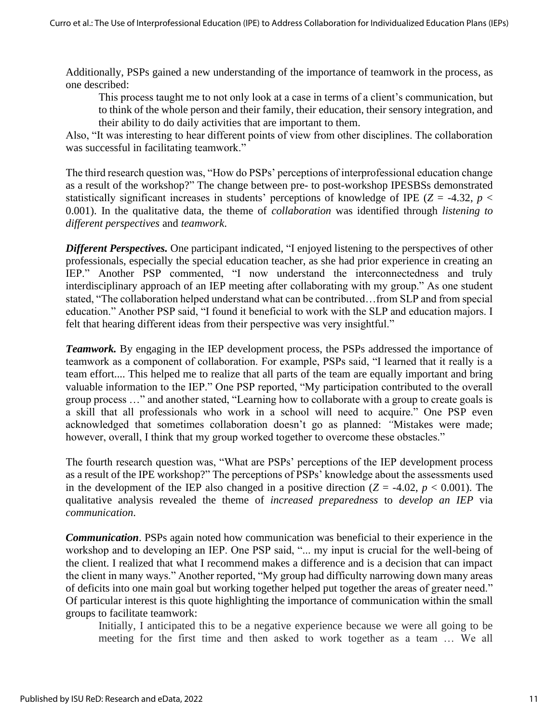Additionally, PSPs gained a new understanding of the importance of teamwork in the process, as one described:

This process taught me to not only look at a case in terms of a client's communication, but to think of the whole person and their family, their education, their sensory integration, and their ability to do daily activities that are important to them.

Also, "It was interesting to hear different points of view from other disciplines. The collaboration was successful in facilitating teamwork."

The third research question was, "How do PSPs' perceptions of interprofessional education change as a result of the workshop?" The change between pre- to post-workshop IPESBSs demonstrated statistically significant increases in students' perceptions of knowledge of IPE ( $Z = -4.32$ ,  $p <$ 0.001). In the qualitative data, the theme of *collaboration* was identified through *listening to different perspectives* and *teamwork*.

*Different Perspectives.* One participant indicated, "I enjoyed listening to the perspectives of other professionals, especially the special education teacher, as she had prior experience in creating an IEP." Another PSP commented, "I now understand the interconnectedness and truly interdisciplinary approach of an IEP meeting after collaborating with my group." As one student stated, "The collaboration helped understand what can be contributed…from SLP and from special education." Another PSP said, "I found it beneficial to work with the SLP and education majors. I felt that hearing different ideas from their perspective was very insightful."

**Teamwork.** By engaging in the IEP development process, the PSPs addressed the importance of teamwork as a component of collaboration. For example, PSPs said, "I learned that it really is a team effort.... This helped me to realize that all parts of the team are equally important and bring valuable information to the IEP." One PSP reported, "My participation contributed to the overall group process …" and another stated, "Learning how to collaborate with a group to create goals is a skill that all professionals who work in a school will need to acquire." One PSP even acknowledged that sometimes collaboration doesn't go as planned: *"*Mistakes were made; however, overall, I think that my group worked together to overcome these obstacles."

The fourth research question was, "What are PSPs' perceptions of the IEP development process as a result of the IPE workshop?" The perceptions of PSPs' knowledge about the assessments used in the development of the IEP also changed in a positive direction  $(Z = -4.02, p < 0.001)$ . The qualitative analysis revealed the theme of *increased preparedness* to *develop an IEP* via *communication*.

*Communication*. PSPs again noted how communication was beneficial to their experience in the workshop and to developing an IEP. One PSP said, "... my input is crucial for the well-being of the client. I realized that what I recommend makes a difference and is a decision that can impact the client in many ways." Another reported, "My group had difficulty narrowing down many areas of deficits into one main goal but working together helped put together the areas of greater need." Of particular interest is this quote highlighting the importance of communication within the small groups to facilitate teamwork:

Initially, I anticipated this to be a negative experience because we were all going to be meeting for the first time and then asked to work together as a team … We all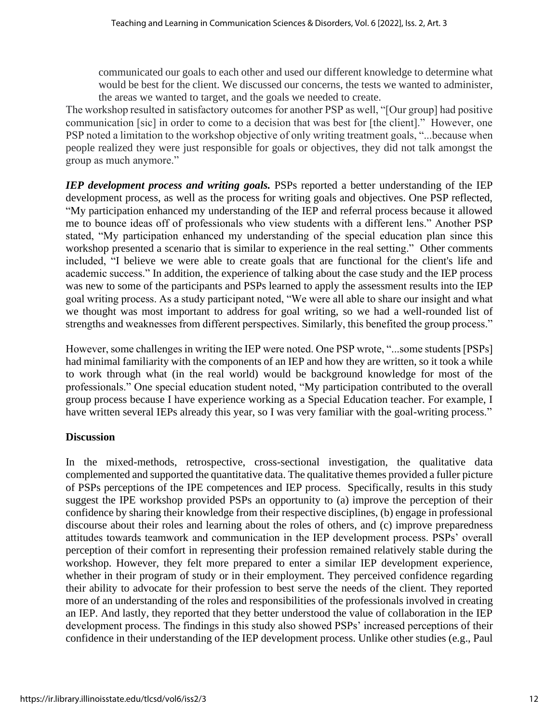communicated our goals to each other and used our different knowledge to determine what would be best for the client. We discussed our concerns, the tests we wanted to administer, the areas we wanted to target, and the goals we needed to create.

The workshop resulted in satisfactory outcomes for another PSP as well, "[Our group] had positive communication [sic] in order to come to a decision that was best for [the client]." However, one PSP noted a limitation to the workshop objective of only writing treatment goals, "...because when people realized they were just responsible for goals or objectives, they did not talk amongst the group as much anymore."

*IEP development process and writing goals.* PSPs reported a better understanding of the IEP development process, as well as the process for writing goals and objectives. One PSP reflected, "My participation enhanced my understanding of the IEP and referral process because it allowed me to bounce ideas off of professionals who view students with a different lens." Another PSP stated, "My participation enhanced my understanding of the special education plan since this workshop presented a scenario that is similar to experience in the real setting." Other comments included, "I believe we were able to create goals that are functional for the client's life and academic success." In addition, the experience of talking about the case study and the IEP process was new to some of the participants and PSPs learned to apply the assessment results into the IEP goal writing process. As a study participant noted, "We were all able to share our insight and what we thought was most important to address for goal writing, so we had a well-rounded list of strengths and weaknesses from different perspectives. Similarly, this benefited the group process."

However, some challenges in writing the IEP were noted. One PSP wrote, "...some students [PSPs] had minimal familiarity with the components of an IEP and how they are written, so it took a while to work through what (in the real world) would be background knowledge for most of the professionals." One special education student noted, "My participation contributed to the overall group process because I have experience working as a Special Education teacher. For example, I have written several IEPs already this year, so I was very familiar with the goal-writing process."

#### **Discussion**

In the mixed-methods, retrospective, cross-sectional investigation, the qualitative data complemented and supported the quantitative data. The qualitative themes provided a fuller picture of PSPs perceptions of the IPE competences and IEP process. Specifically, results in this study suggest the IPE workshop provided PSPs an opportunity to (a) improve the perception of their confidence by sharing their knowledge from their respective disciplines, (b) engage in professional discourse about their roles and learning about the roles of others, and (c) improve preparedness attitudes towards teamwork and communication in the IEP development process. PSPs' overall perception of their comfort in representing their profession remained relatively stable during the workshop. However, they felt more prepared to enter a similar IEP development experience, whether in their program of study or in their employment. They perceived confidence regarding their ability to advocate for their profession to best serve the needs of the client. They reported more of an understanding of the roles and responsibilities of the professionals involved in creating an IEP. And lastly, they reported that they better understood the value of collaboration in the IEP development process. The findings in this study also showed PSPs' increased perceptions of their confidence in their understanding of the IEP development process. Unlike other studies (e.g., Paul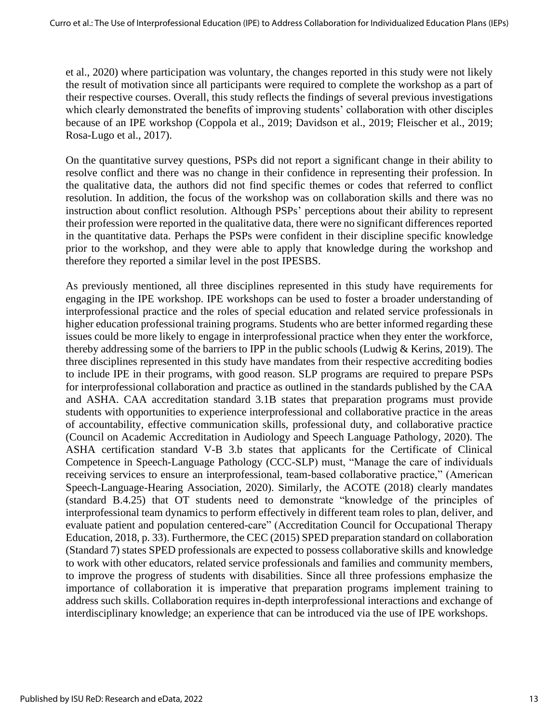et al., 2020) where participation was voluntary, the changes reported in this study were not likely the result of motivation since all participants were required to complete the workshop as a part of their respective courses. Overall, this study reflects the findings of several previous investigations which clearly demonstrated the benefits of improving students' collaboration with other disciples because of an IPE workshop (Coppola et al., 2019; Davidson et al., 2019; Fleischer et al., 2019; Rosa-Lugo et al., 2017).

On the quantitative survey questions, PSPs did not report a significant change in their ability to resolve conflict and there was no change in their confidence in representing their profession. In the qualitative data, the authors did not find specific themes or codes that referred to conflict resolution. In addition, the focus of the workshop was on collaboration skills and there was no instruction about conflict resolution. Although PSPs' perceptions about their ability to represent their profession were reported in the qualitative data, there were no significant differences reported in the quantitative data. Perhaps the PSPs were confident in their discipline specific knowledge prior to the workshop, and they were able to apply that knowledge during the workshop and therefore they reported a similar level in the post IPESBS.

As previously mentioned, all three disciplines represented in this study have requirements for engaging in the IPE workshop. IPE workshops can be used to foster a broader understanding of interprofessional practice and the roles of special education and related service professionals in higher education professional training programs. Students who are better informed regarding these issues could be more likely to engage in interprofessional practice when they enter the workforce, thereby addressing some of the barriers to IPP in the public schools (Ludwig & Kerins, 2019). The three disciplines represented in this study have mandates from their respective accrediting bodies to include IPE in their programs, with good reason. SLP programs are required to prepare PSPs for interprofessional collaboration and practice as outlined in the standards published by the CAA and ASHA. CAA accreditation standard 3.1B states that preparation programs must provide students with opportunities to experience interprofessional and collaborative practice in the areas of accountability, effective communication skills, professional duty, and collaborative practice (Council on Academic Accreditation in Audiology and Speech Language Pathology, 2020). The ASHA certification standard V-B 3.b states that applicants for the Certificate of Clinical Competence in Speech-Language Pathology (CCC-SLP) must, "Manage the care of individuals receiving services to ensure an interprofessional, team-based collaborative practice," (American Speech-Language-Hearing Association, 2020). Similarly, the ACOTE (2018) clearly mandates (standard B.4.25) that OT students need to demonstrate "knowledge of the principles of interprofessional team dynamics to perform effectively in different team roles to plan, deliver, and evaluate patient and population centered-care" (Accreditation Council for Occupational Therapy Education, 2018, p. 33). Furthermore, the CEC (2015) SPED preparation standard on collaboration (Standard 7) states SPED professionals are expected to possess collaborative skills and knowledge to work with other educators, related service professionals and families and community members, to improve the progress of students with disabilities. Since all three professions emphasize the importance of collaboration it is imperative that preparation programs implement training to address such skills. Collaboration requires in-depth interprofessional interactions and exchange of interdisciplinary knowledge; an experience that can be introduced via the use of IPE workshops.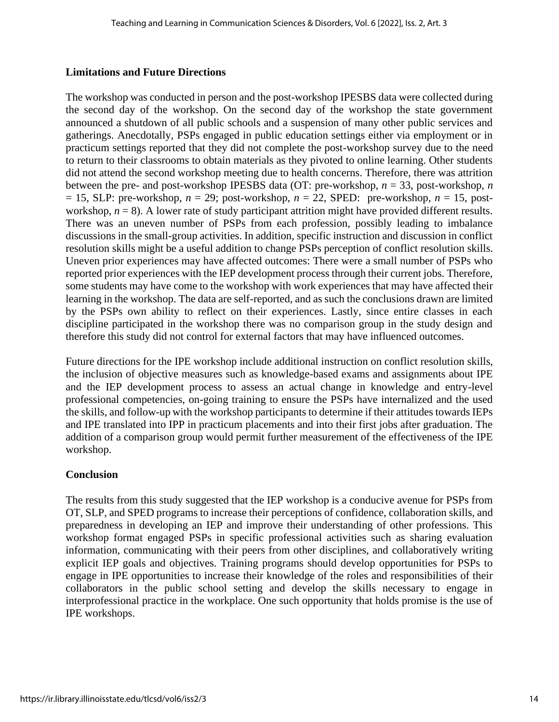#### **Limitations and Future Directions**

The workshop was conducted in person and the post-workshop IPESBS data were collected during the second day of the workshop. On the second day of the workshop the state government announced a shutdown of all public schools and a suspension of many other public services and gatherings. Anecdotally, PSPs engaged in public education settings either via employment or in practicum settings reported that they did not complete the post-workshop survey due to the need to return to their classrooms to obtain materials as they pivoted to online learning. Other students did not attend the second workshop meeting due to health concerns. Therefore, there was attrition between the pre- and post-workshop IPESBS data (OT: pre-workshop, *n* = 33, post-workshop, *n*  $= 15$ , SLP: pre-workshop,  $n = 29$ ; post-workshop,  $n = 22$ , SPED: pre-workshop,  $n = 15$ , postworkshop,  $n = 8$ ). A lower rate of study participant attrition might have provided different results. There was an uneven number of PSPs from each profession, possibly leading to imbalance discussions in the small-group activities. In addition, specific instruction and discussion in conflict resolution skills might be a useful addition to change PSPs perception of conflict resolution skills. Uneven prior experiences may have affected outcomes: There were a small number of PSPs who reported prior experiences with the IEP development process through their current jobs. Therefore, some students may have come to the workshop with work experiences that may have affected their learning in the workshop. The data are self-reported, and as such the conclusions drawn are limited by the PSPs own ability to reflect on their experiences. Lastly, since entire classes in each discipline participated in the workshop there was no comparison group in the study design and therefore this study did not control for external factors that may have influenced outcomes.

Future directions for the IPE workshop include additional instruction on conflict resolution skills, the inclusion of objective measures such as knowledge-based exams and assignments about IPE and the IEP development process to assess an actual change in knowledge and entry-level professional competencies, on-going training to ensure the PSPs have internalized and the used the skills, and follow-up with the workshop participants to determine if their attitudes towards IEPs and IPE translated into IPP in practicum placements and into their first jobs after graduation. The addition of a comparison group would permit further measurement of the effectiveness of the IPE workshop.

### **Conclusion**

The results from this study suggested that the IEP workshop is a conducive avenue for PSPs from OT, SLP, and SPED programs to increase their perceptions of confidence, collaboration skills, and preparedness in developing an IEP and improve their understanding of other professions. This workshop format engaged PSPs in specific professional activities such as sharing evaluation information, communicating with their peers from other disciplines, and collaboratively writing explicit IEP goals and objectives. Training programs should develop opportunities for PSPs to engage in IPE opportunities to increase their knowledge of the roles and responsibilities of their collaborators in the public school setting and develop the skills necessary to engage in interprofessional practice in the workplace. One such opportunity that holds promise is the use of IPE workshops.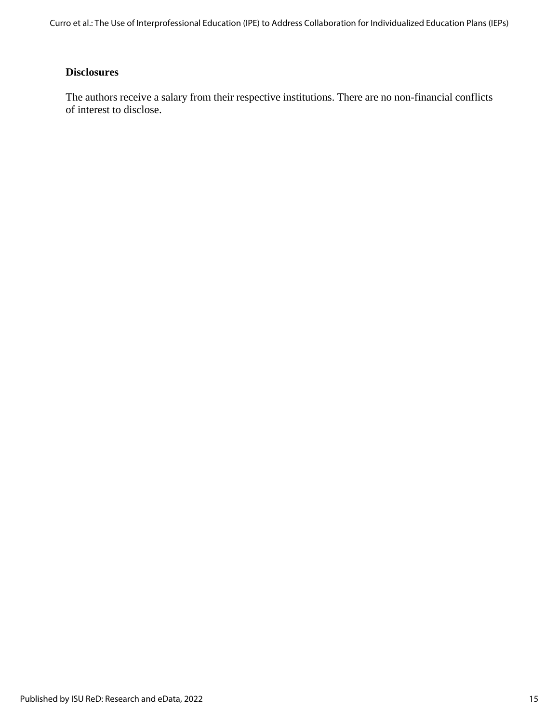Curro et al.: The Use of Interprofessional Education (IPE) to Address Collaboration for Individualized Education Plans (IEPs)

# **Disclosures**

The authors receive a salary from their respective institutions. There are no non-financial conflicts of interest to disclose.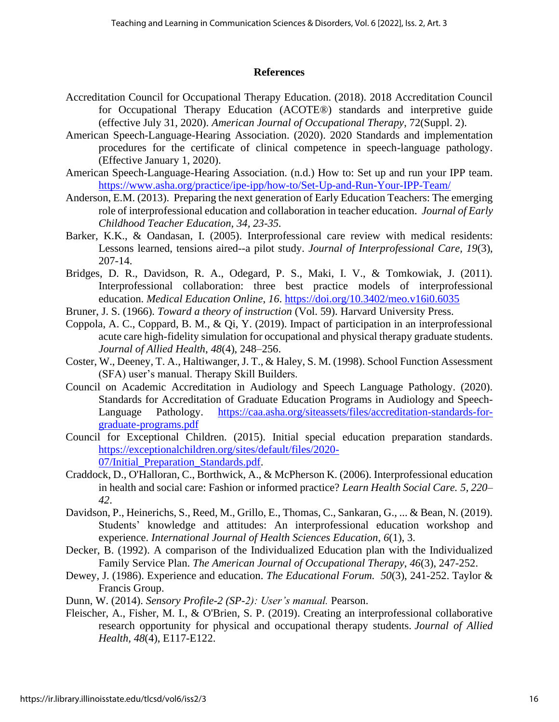#### **References**

- Accreditation Council for Occupational Therapy Education. (2018). 2018 Accreditation Council for Occupational Therapy Education (ACOTE®) standards and interpretive guide (effective July 31, 2020). *American Journal of Occupational Therapy*, 72(Suppl. 2).
- American Speech-Language-Hearing Association. (2020). 2020 Standards and implementation procedures for the certificate of clinical competence in speech-language pathology. (Effective January 1, 2020).
- American Speech-Language-Hearing Association. (n.d.) How to: Set up and run your IPP team. <https://www.asha.org/practice/ipe-ipp/how-to/Set-Up-and-Run-Your-IPP-Team/>
- Anderson, E.M. (2013). Preparing the next generation of Early Education Teachers: The emerging role of interprofessional education and collaboration in teacher education. *Journal of Early Childhood Teacher Education, 34, 23-35.*
- Barker, K.K., & Oandasan, I. (2005). Interprofessional care review with medical residents: Lessons learned, tensions aired--a pilot study. *Journal of Interprofessional Care, 19*(3), 207-14.
- Bridges, D. R., Davidson, R. A., Odegard, P. S., Maki, I. V., & Tomkowiak, J. (2011). Interprofessional collaboration: three best practice models of interprofessional education. *Medical Education Online*, *16*.<https://doi.org/10.3402/meo.v16i0.6035>
- Bruner, J. S. (1966). *Toward a theory of instruction* (Vol. 59). Harvard University Press.
- Coppola, A. C., Coppard, B. M., & Qi, Y. (2019). Impact of participation in an interprofessional acute care high-fidelity simulation for occupational and physical therapy graduate students. *Journal of Allied Health*, *48*(4), 248–256.
- Coster, W., Deeney, T. A., Haltiwanger, J. T., & Haley, S. M. (1998). School Function Assessment (SFA) user's manual. Therapy Skill Builders.
- Council on Academic Accreditation in Audiology and Speech Language Pathology. (2020). Standards for Accreditation of Graduate Education Programs in Audiology and Speech-Language Pathology. [https://caa.asha.org/siteassets/files/accreditation-standards-for](https://caa.asha.org/siteassets/files/accreditation-standards-for-graduate-programs.pdf)[graduate-programs.pdf](https://caa.asha.org/siteassets/files/accreditation-standards-for-graduate-programs.pdf)
- Council for Exceptional Children. (2015). Initial special education preparation standards. [https://exceptionalchildren.org/sites/default/files/2020-](https://exceptionalchildren.org/sites/default/files/2020-07/Initial_Preparation_Standards.pdf) [07/Initial\\_Preparation\\_Standards.pdf.](https://exceptionalchildren.org/sites/default/files/2020-07/Initial_Preparation_Standards.pdf)
- Craddock, D., O'Halloran, C., Borthwick, A., & McPherson K. (2006). Interprofessional education in health and social care: Fashion or informed practice? *Learn Health Social Care. 5, 220– 42*.
- Davidson, P., Heinerichs, S., Reed, M., Grillo, E., Thomas, C., Sankaran, G., ... & Bean, N. (2019). Students' knowledge and attitudes: An interprofessional education workshop and experience. *International Journal of Health Sciences Education*, *6*(1), 3.
- Decker, B. (1992). A comparison of the Individualized Education plan with the Individualized Family Service Plan. *The American Journal of Occupational Therapy*, *46*(3), 247-252.
- Dewey, J. (1986). Experience and education. *The Educational Forum. 50*(3), 241-252. Taylor & Francis Group.
- Dunn, W. (2014). *Sensory Profile-2 (SP-2): User's manual.* Pearson.
- Fleischer, A., Fisher, M. I., & O'Brien, S. P. (2019). Creating an interprofessional collaborative research opportunity for physical and occupational therapy students. *Journal of Allied Health, 48*(4), E117-E122.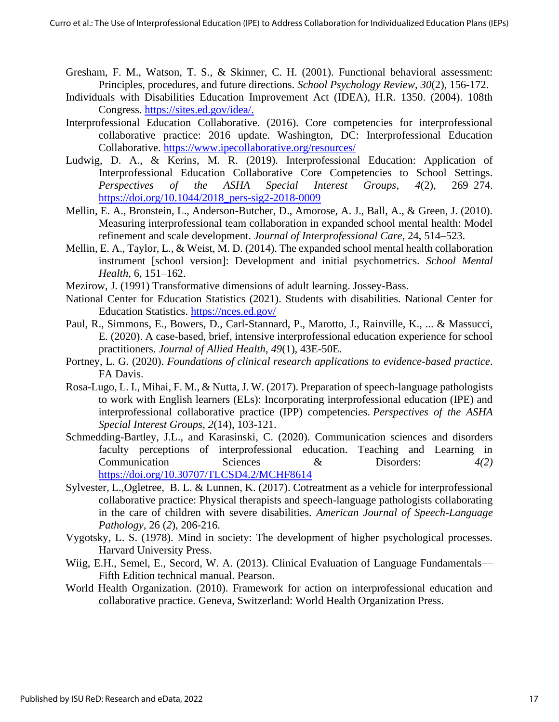- Gresham, F. M., Watson, T. S., & Skinner, C. H. (2001). Functional behavioral assessment: Principles, procedures, and future directions. *School Psychology Review*, *30*(2), 156-172.
- Individuals with Disabilities Education Improvement Act (IDEA), H.R. 1350. (2004). 108th Congress. [https://sites.ed.gov/idea/.](https://sites.ed.gov/idea/)
- Interprofessional Education Collaborative. (2016). Core competencies for interprofessional collaborative practice: 2016 update. Washington, DC: Interprofessional Education Collaborative.<https://www.ipecollaborative.org/resources/>
- Ludwig, D. A., & Kerins, M. R. (2019). Interprofessional Education: Application of Interprofessional Education Collaborative Core Competencies to School Settings. *Perspectives of the ASHA Special Interest Groups*, *4*(2), 269–274. [https://doi.org/10.1044/2018\\_pers-sig2-2018-0009](https://doi.org/10.1044/2018_pers-sig2-2018-0009)
- Mellin, E. A., Bronstein, L., Anderson-Butcher, D., Amorose, A. J., Ball, A., & Green, J. (2010). Measuring interprofessional team collaboration in expanded school mental health: Model refinement and scale development. *Journal of Interprofessional Care*, 24, 514–523.
- Mellin, E. A., Taylor, L., & Weist, M. D. (2014). The expanded school mental health collaboration instrument [school version]: Development and initial psychometrics. *School Mental Health*, 6, 151–162.
- Mezirow, J. (1991) Transformative dimensions of adult learning. Jossey-Bass.
- National Center for Education Statistics (2021). Students with disabilities. National Center for Education Statistics.<https://nces.ed.gov/>
- Paul, R., Simmons, E., Bowers, D., Carl-Stannard, P., Marotto, J., Rainville, K., ... & Massucci, E. (2020). A case-based, brief, intensive interprofessional education experience for school practitioners. *Journal of Allied Health*, *49*(1), 43E-50E.
- Portney, L. G. (2020). *Foundations of clinical research applications to evidence-based practice*. FA Davis.
- Rosa-Lugo, L. I., Mihai, F. M., & Nutta, J. W. (2017). Preparation of speech-language pathologists to work with English learners (ELs): Incorporating interprofessional education (IPE) and interprofessional collaborative practice (IPP) competencies. *Perspectives of the ASHA Special Interest Groups*, *2*(14), 103-121.
- Schmedding-Bartley, J.L., and Karasinski, C. (2020). Communication sciences and disorders faculty perceptions of interprofessional education. Teaching and Learning in Communication Sciences & Disorders: *4(2)* <https://doi.org/10.30707/TLCSD4.2/MCHF8614>
- Sylvester, L.,Ogletree, B. L. & Lunnen, K. (2017). Cotreatment as a vehicle for interprofessional collaborative practice: Physical therapists and speech-language pathologists collaborating in the care of children with severe disabilities. *American Journal of Speech-Language Pathology,* 26 (*2*), 206-216.
- Vygotsky, L. S. (1978). Mind in society: The development of higher psychological processes. Harvard University Press.
- Wiig, E.H., Semel, E., Secord, W. A. (2013). Clinical Evaluation of Language Fundamentals— Fifth Edition technical manual. Pearson.
- World Health Organization. (2010). Framework for action on interprofessional education and collaborative practice. Geneva, Switzerland: World Health Organization Press.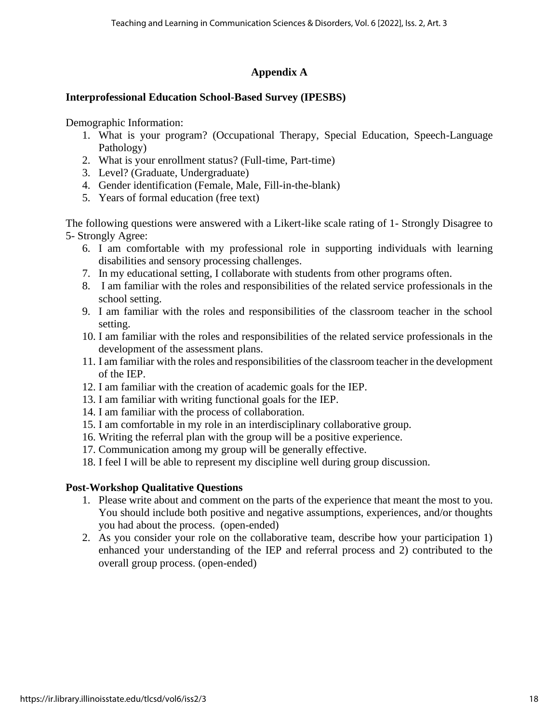## **Appendix A**

## **Interprofessional Education School-Based Survey (IPESBS)**

Demographic Information:

- 1. What is your program? (Occupational Therapy, Special Education, Speech-Language Pathology)
- 2. What is your enrollment status? (Full-time, Part-time)
- 3. Level? (Graduate, Undergraduate)
- 4. Gender identification (Female, Male, Fill-in-the-blank)
- 5. Years of formal education (free text)

The following questions were answered with a Likert-like scale rating of 1- Strongly Disagree to 5- Strongly Agree:

- 6. I am comfortable with my professional role in supporting individuals with learning disabilities and sensory processing challenges.
- 7. In my educational setting, I collaborate with students from other programs often.
- 8. I am familiar with the roles and responsibilities of the related service professionals in the school setting.
- 9. I am familiar with the roles and responsibilities of the classroom teacher in the school setting.
- 10. I am familiar with the roles and responsibilities of the related service professionals in the development of the assessment plans.
- 11. I am familiar with the roles and responsibilities of the classroom teacher in the development of the IEP.
- 12. I am familiar with the creation of academic goals for the IEP.
- 13. I am familiar with writing functional goals for the IEP.
- 14. I am familiar with the process of collaboration.
- 15. I am comfortable in my role in an interdisciplinary collaborative group.
- 16. Writing the referral plan with the group will be a positive experience.
- 17. Communication among my group will be generally effective.
- 18. I feel I will be able to represent my discipline well during group discussion.

### **Post-Workshop Qualitative Questions**

- 1. Please write about and comment on the parts of the experience that meant the most to you. You should include both positive and negative assumptions, experiences, and/or thoughts you had about the process. (open-ended)
- 2. As you consider your role on the collaborative team, describe how your participation 1) enhanced your understanding of the IEP and referral process and 2) contributed to the overall group process. (open-ended)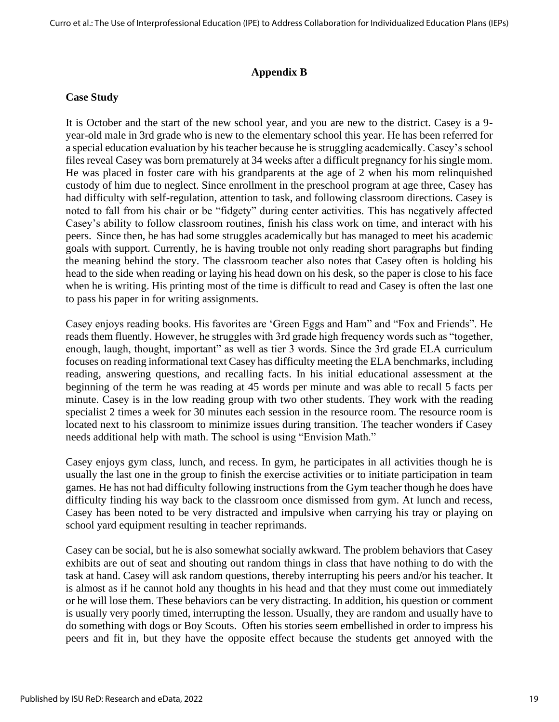#### **Appendix B**

#### **Case Study**

It is October and the start of the new school year, and you are new to the district. Casey is a 9 year-old male in 3rd grade who is new to the elementary school this year. He has been referred for a special education evaluation by his teacher because he is struggling academically. Casey's school files reveal Casey was born prematurely at 34 weeks after a difficult pregnancy for his single mom. He was placed in foster care with his grandparents at the age of 2 when his mom relinquished custody of him due to neglect. Since enrollment in the preschool program at age three, Casey has had difficulty with self-regulation, attention to task, and following classroom directions. Casey is noted to fall from his chair or be "fidgety" during center activities. This has negatively affected Casey's ability to follow classroom routines, finish his class work on time, and interact with his peers. Since then, he has had some struggles academically but has managed to meet his academic goals with support. Currently, he is having trouble not only reading short paragraphs but finding the meaning behind the story. The classroom teacher also notes that Casey often is holding his head to the side when reading or laying his head down on his desk, so the paper is close to his face when he is writing. His printing most of the time is difficult to read and Casey is often the last one to pass his paper in for writing assignments.

Casey enjoys reading books. His favorites are 'Green Eggs and Ham" and "Fox and Friends". He reads them fluently. However, he struggles with 3rd grade high frequency words such as "together, enough, laugh, thought, important" as well as tier 3 words. Since the 3rd grade ELA curriculum focuses on reading informational text Casey has difficulty meeting the ELA benchmarks, including reading, answering questions, and recalling facts. In his initial educational assessment at the beginning of the term he was reading at 45 words per minute and was able to recall 5 facts per minute. Casey is in the low reading group with two other students. They work with the reading specialist 2 times a week for 30 minutes each session in the resource room. The resource room is located next to his classroom to minimize issues during transition. The teacher wonders if Casey needs additional help with math. The school is using "Envision Math."

Casey enjoys gym class, lunch, and recess. In gym, he participates in all activities though he is usually the last one in the group to finish the exercise activities or to initiate participation in team games. He has not had difficulty following instructions from the Gym teacher though he does have difficulty finding his way back to the classroom once dismissed from gym. At lunch and recess, Casey has been noted to be very distracted and impulsive when carrying his tray or playing on school yard equipment resulting in teacher reprimands.

Casey can be social, but he is also somewhat socially awkward. The problem behaviors that Casey exhibits are out of seat and shouting out random things in class that have nothing to do with the task at hand. Casey will ask random questions, thereby interrupting his peers and/or his teacher. It is almost as if he cannot hold any thoughts in his head and that they must come out immediately or he will lose them. These behaviors can be very distracting. In addition, his question or comment is usually very poorly timed, interrupting the lesson. Usually, they are random and usually have to do something with dogs or Boy Scouts. Often his stories seem embellished in order to impress his peers and fit in, but they have the opposite effect because the students get annoyed with the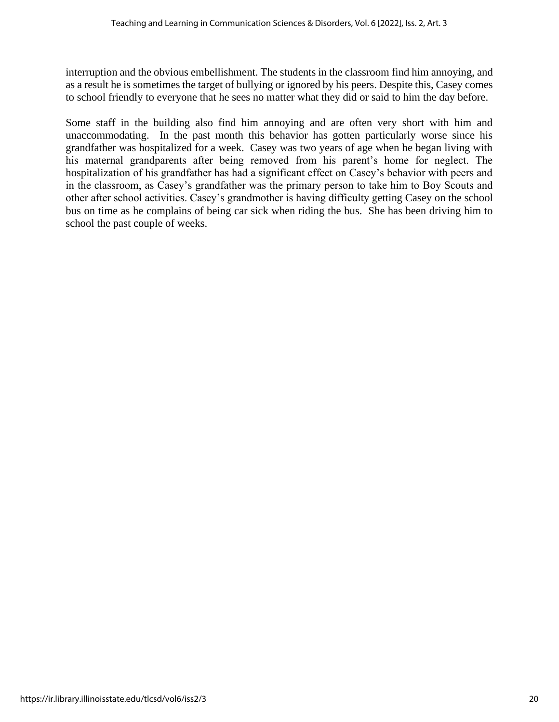interruption and the obvious embellishment. The students in the classroom find him annoying, and as a result he is sometimes the target of bullying or ignored by his peers. Despite this, Casey comes to school friendly to everyone that he sees no matter what they did or said to him the day before.

Some staff in the building also find him annoying and are often very short with him and unaccommodating. In the past month this behavior has gotten particularly worse since his grandfather was hospitalized for a week. Casey was two years of age when he began living with his maternal grandparents after being removed from his parent's home for neglect. The hospitalization of his grandfather has had a significant effect on Casey's behavior with peers and in the classroom, as Casey's grandfather was the primary person to take him to Boy Scouts and other after school activities. Casey's grandmother is having difficulty getting Casey on the school bus on time as he complains of being car sick when riding the bus. She has been driving him to school the past couple of weeks.